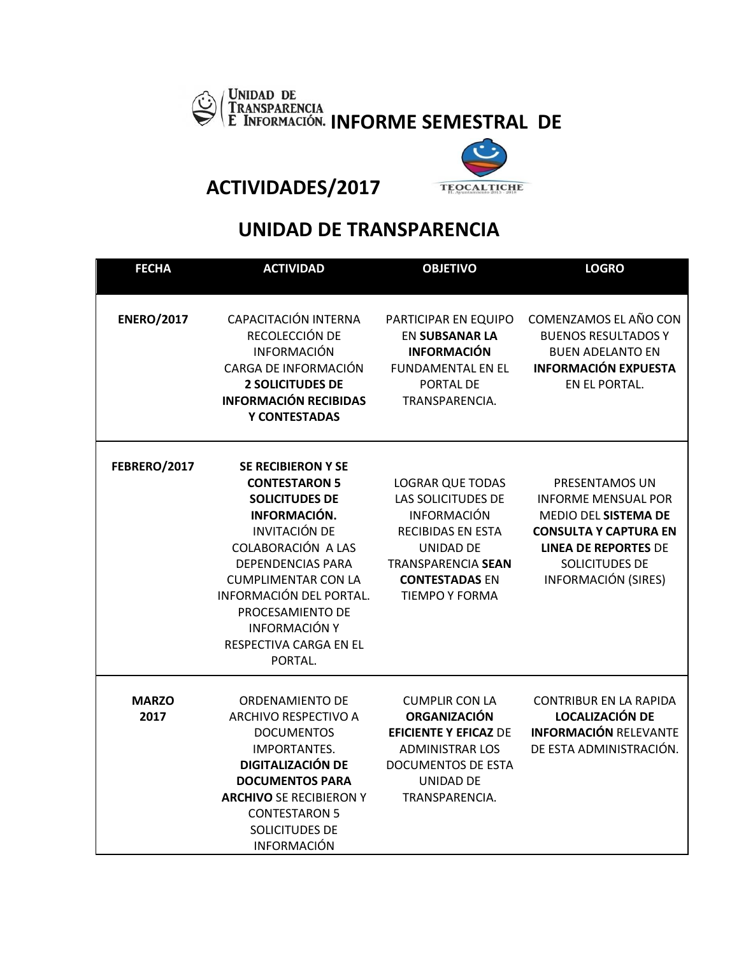



**ACTIVIDADES/2017** 

## **UNIDAD DE TRANSPARENCIA**

| <b>FECHA</b>         | <b>ACTIVIDAD</b>                                                                                                                                                                                                                                                                                               | <b>OBJETIVO</b>                                                                                                                                                                                    | <b>LOGRO</b>                                                                                                                                                                        |
|----------------------|----------------------------------------------------------------------------------------------------------------------------------------------------------------------------------------------------------------------------------------------------------------------------------------------------------------|----------------------------------------------------------------------------------------------------------------------------------------------------------------------------------------------------|-------------------------------------------------------------------------------------------------------------------------------------------------------------------------------------|
| <b>ENERO/2017</b>    | CAPACITACIÓN INTERNA<br>RECOLECCIÓN DE<br><b>INFORMACIÓN</b><br>CARGA DE INFORMACIÓN<br><b>2 SOLICITUDES DE</b><br><b>INFORMACIÓN RECIBIDAS</b><br>Y CONTESTADAS                                                                                                                                               | PARTICIPAR EN EQUIPO<br><b>EN SUBSANAR LA</b><br><b>INFORMACIÓN</b><br><b>FUNDAMENTAL EN EL</b><br>PORTAL DE<br>TRANSPARENCIA.                                                                     | COMENZAMOS EL AÑO CON<br><b>BUENOS RESULTADOS Y</b><br><b>BUEN ADELANTO EN</b><br><b>INFORMACIÓN EXPUESTA</b><br>EN EL PORTAL.                                                      |
| FEBRERO/2017         | <b>SE RECIBIERON Y SE</b><br><b>CONTESTARON 5</b><br><b>SOLICITUDES DE</b><br>INFORMACIÓN.<br><b>INVITACIÓN DE</b><br>COLABORACIÓN A LAS<br><b>DEPENDENCIAS PARA</b><br><b>CUMPLIMENTAR CON LA</b><br>INFORMACIÓN DEL PORTAL.<br>PROCESAMIENTO DE<br><b>INFORMACIÓN Y</b><br>RESPECTIVA CARGA EN EL<br>PORTAL. | <b>LOGRAR QUE TODAS</b><br>LAS SOLICITUDES DE<br><b>INFORMACIÓN</b><br><b>RECIBIDAS EN ESTA</b><br><b>UNIDAD DE</b><br><b>TRANSPARENCIA SEAN</b><br><b>CONTESTADAS EN</b><br><b>TIEMPO Y FORMA</b> | PRESENTAMOS UN<br><b>INFORME MENSUAL POR</b><br>MEDIO DEL SISTEMA DE<br><b>CONSULTA Y CAPTURA EN</b><br><b>LINEA DE REPORTES DE</b><br>SOLICITUDES DE<br><b>INFORMACIÓN (SIRES)</b> |
| <b>MARZO</b><br>2017 | <b>ORDENAMIENTO DE</b><br>ARCHIVO RESPECTIVO A<br><b>DOCUMENTOS</b><br><b>IMPORTANTES.</b><br><b>DIGITALIZACIÓN DE</b><br><b>DOCUMENTOS PARA</b><br><b>ARCHIVO SE RECIBIERON Y</b><br><b>CONTESTARON 5</b><br>SOLICITUDES DE<br><b>INFORMACIÓN</b>                                                             | <b>CUMPLIR CON LA</b><br><b>ORGANIZACIÓN</b><br><b>EFICIENTE Y EFICAZ DE</b><br><b>ADMINISTRAR LOS</b><br><b>DOCUMENTOS DE ESTA</b><br>UNIDAD DE<br>TRANSPARENCIA.                                 | <b>CONTRIBUR EN LA RAPIDA</b><br><b>LOCALIZACIÓN DE</b><br><b>INFORMACIÓN RELEVANTE</b><br>DE ESTA ADMINISTRACIÓN.                                                                  |